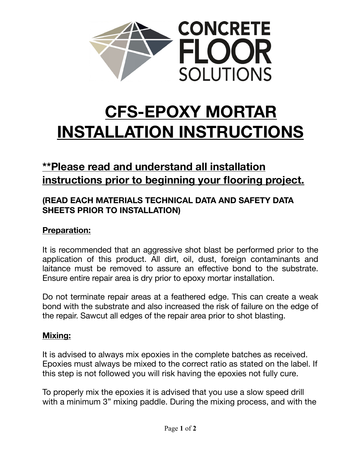

# **CFS-EPOXY MORTAR INSTALLATION INSTRUCTIONS**

# **\*\*Please read and understand all installation instructions prior to beginning your flooring project.**

## **(READ EACH MATERIALS TECHNICAL DATA AND SAFETY DATA SHEETS PRIOR TO INSTALLATION)**

## **Preparation:**

It is recommended that an aggressive shot blast be performed prior to the application of this product. All dirt, oil, dust, foreign contaminants and laitance must be removed to assure an effective bond to the substrate. Ensure entire repair area is dry prior to epoxy mortar installation.

Do not terminate repair areas at a feathered edge. This can create a weak bond with the substrate and also increased the risk of failure on the edge of the repair. Sawcut all edges of the repair area prior to shot blasting.

#### **Mixing:**

It is advised to always mix epoxies in the complete batches as received. Epoxies must always be mixed to the correct ratio as stated on the label. If this step is not followed you will risk having the epoxies not fully cure.

To properly mix the epoxies it is advised that you use a slow speed drill with a minimum 3" mixing paddle. During the mixing process, and with the